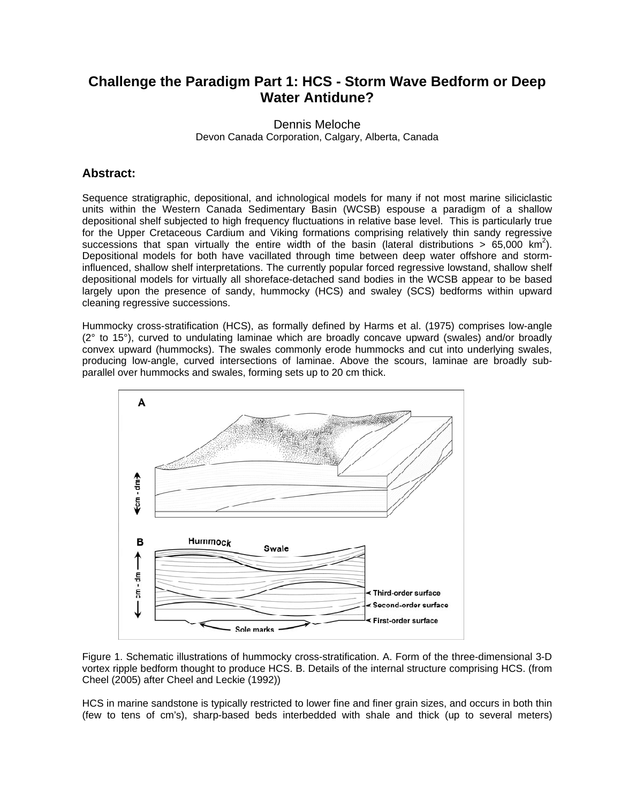## **Challenge the Paradigm Part 1: HCS - Storm Wave Bedform or Deep Water Antidune?**

Dennis Meloche Devon Canada Corporation, Calgary, Alberta, Canada

## **Abstract:**

Sequence stratigraphic, depositional, and ichnological models for many if not most marine siliciclastic units within the Western Canada Sedimentary Basin (WCSB) espouse a paradigm of a shallow depositional shelf subjected to high frequency fluctuations in relative base level. This is particularly true for the Upper Cretaceous Cardium and Viking formations comprising relatively thin sandy regressive successions that span virtually the entire width of the basin (lateral distributions >  $65,000$  km<sup>2</sup>). Depositional models for both have vacillated through time between deep water offshore and storminfluenced, shallow shelf interpretations. The currently popular forced regressive lowstand, shallow shelf depositional models for virtually all shoreface-detached sand bodies in the WCSB appear to be based largely upon the presence of sandy, hummocky (HCS) and swaley (SCS) bedforms within upward cleaning regressive successions.

Hummocky cross-stratification (HCS), as formally defined by Harms et al. (1975) comprises low-angle (2° to 15°), curved to undulating laminae which are broadly concave upward (swales) and/or broadly convex upward (hummocks). The swales commonly erode hummocks and cut into underlying swales, producing low-angle, curved intersections of laminae. Above the scours, laminae are broadly subparallel over hummocks and swales, forming sets up to 20 cm thick.



Figure 1. Schematic illustrations of hummocky cross-stratification. A. Form of the three-dimensional 3-D vortex ripple bedform thought to produce HCS. B. Details of the internal structure comprising HCS. (from Cheel (2005) after Cheel and Leckie (1992))

HCS in marine sandstone is typically restricted to lower fine and finer grain sizes, and occurs in both thin (few to tens of cm's), sharp-based beds interbedded with shale and thick (up to several meters)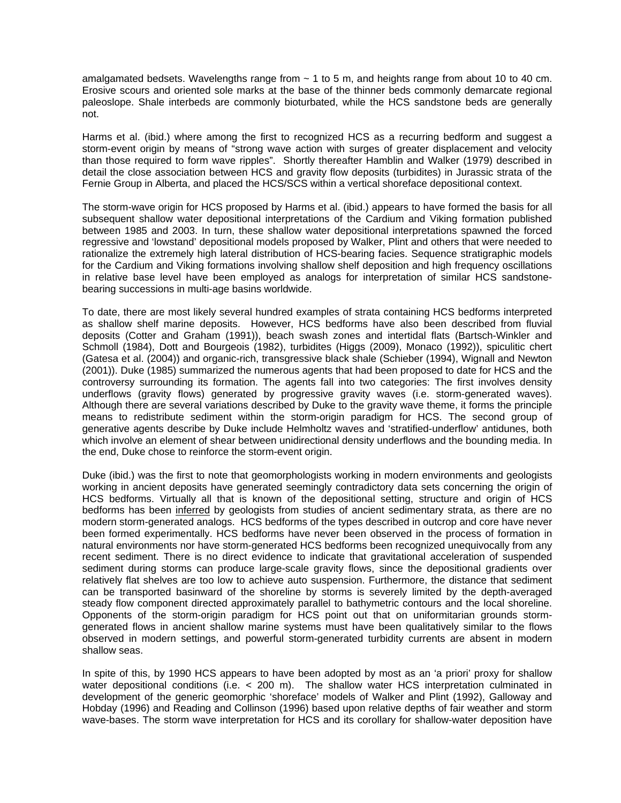amalgamated bedsets. Wavelengths range from  $\sim$  1 to 5 m, and heights range from about 10 to 40 cm. Erosive scours and oriented sole marks at the base of the thinner beds commonly demarcate regional paleoslope. Shale interbeds are commonly bioturbated, while the HCS sandstone beds are generally not.

Harms et al. (ibid.) where among the first to recognized HCS as a recurring bedform and suggest a storm-event origin by means of "strong wave action with surges of greater displacement and velocity than those required to form wave ripples". Shortly thereafter Hamblin and Walker (1979) described in detail the close association between HCS and gravity flow deposits (turbidites) in Jurassic strata of the Fernie Group in Alberta, and placed the HCS/SCS within a vertical shoreface depositional context.

The storm-wave origin for HCS proposed by Harms et al. (ibid.) appears to have formed the basis for all subsequent shallow water depositional interpretations of the Cardium and Viking formation published between 1985 and 2003. In turn, these shallow water depositional interpretations spawned the forced regressive and 'lowstand' depositional models proposed by Walker, Plint and others that were needed to rationalize the extremely high lateral distribution of HCS-bearing facies. Sequence stratigraphic models for the Cardium and Viking formations involving shallow shelf deposition and high frequency oscillations in relative base level have been employed as analogs for interpretation of similar HCS sandstonebearing successions in multi-age basins worldwide.

To date, there are most likely several hundred examples of strata containing HCS bedforms interpreted as shallow shelf marine deposits. However, HCS bedforms have also been described from fluvial deposits (Cotter and Graham (1991)), beach swash zones and intertidal flats (Bartsch-Winkler and Schmoll (1984), Dott and Bourgeois (1982), turbidites (Higgs (2009), Monaco (1992)), spiculitic chert (Gatesa et al. (2004)) and organic-rich, transgressive black shale (Schieber (1994), Wignall and Newton (2001)). Duke (1985) summarized the numerous agents that had been proposed to date for HCS and the controversy surrounding its formation. The agents fall into two categories: The first involves density underflows (gravity flows) generated by progressive gravity waves (i.e. storm-generated waves). Although there are several variations described by Duke to the gravity wave theme, it forms the principle means to redistribute sediment within the storm-origin paradigm for HCS. The second group of generative agents describe by Duke include Helmholtz waves and 'stratified-underflow' antidunes, both which involve an element of shear between unidirectional density underflows and the bounding media. In the end, Duke chose to reinforce the storm-event origin.

Duke (ibid.) was the first to note that geomorphologists working in modern environments and geologists working in ancient deposits have generated seemingly contradictory data sets concerning the origin of HCS bedforms. Virtually all that is known of the depositional setting, structure and origin of HCS bedforms has been inferred by geologists from studies of ancient sedimentary strata, as there are no modern storm-generated analogs. HCS bedforms of the types described in outcrop and core have never been formed experimentally. HCS bedforms have never been observed in the process of formation in natural environments nor have storm-generated HCS bedforms been recognized unequivocally from any recent sediment. There is no direct evidence to indicate that gravitational acceleration of suspended sediment during storms can produce large-scale gravity flows, since the depositional gradients over relatively flat shelves are too low to achieve auto suspension. Furthermore, the distance that sediment can be transported basinward of the shoreline by storms is severely limited by the depth-averaged steady flow component directed approximately parallel to bathymetric contours and the local shoreline. Opponents of the storm-origin paradigm for HCS point out that on uniformitarian grounds stormgenerated flows in ancient shallow marine systems must have been qualitatively similar to the flows observed in modern settings, and powerful storm-generated turbidity currents are absent in modern shallow seas.

In spite of this, by 1990 HCS appears to have been adopted by most as an 'a priori' proxy for shallow water depositional conditions (i.e. < 200 m). The shallow water HCS interpretation culminated in development of the generic geomorphic 'shoreface' models of Walker and Plint (1992), Galloway and Hobday (1996) and Reading and Collinson (1996) based upon relative depths of fair weather and storm wave-bases. The storm wave interpretation for HCS and its corollary for shallow-water deposition have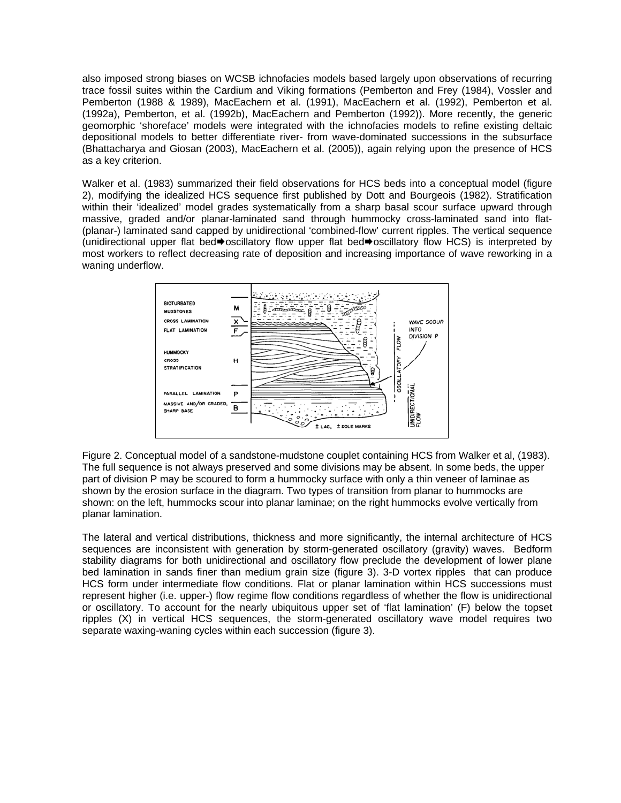also imposed strong biases on WCSB ichnofacies models based largely upon observations of recurring trace fossil suites within the Cardium and Viking formations (Pemberton and Frey (1984), Vossler and Pemberton (1988 & 1989), MacEachern et al. (1991), MacEachern et al. (1992), Pemberton et al. (1992a), Pemberton, et al. (1992b), MacEachern and Pemberton (1992)). More recently, the generic geomorphic 'shoreface' models were integrated with the ichnofacies models to refine existing deltaic depositional models to better differentiate river- from wave-dominated successions in the subsurface (Bhattacharya and Giosan (2003), MacEachern et al. (2005)), again relying upon the presence of HCS as a key criterion.

Walker et al. (1983) summarized their field observations for HCS beds into a conceptual model (figure 2), modifying the idealized HCS sequence first published by Dott and Bourgeois (1982). Stratification within their 'idealized' model grades systematically from a sharp basal scour surface upward through massive, graded and/or planar-laminated sand through hummocky cross-laminated sand into flat- (planar-) laminated sand capped by unidirectional 'combined-flow' current ripples. The vertical sequence (unidirectional upper flat bed $\blacktriangleright$  oscillatory flow upper flat bed $\blacktriangleright$  oscillatory flow HCS) is interpreted by most workers to reflect decreasing rate of deposition and increasing importance of wave reworking in a waning underflow.



Figure 2. Conceptual model of a sandstone-mudstone couplet containing HCS from Walker et al, (1983). The full sequence is not always preserved and some divisions may be absent. In some beds, the upper part of division P may be scoured to form a hummocky surface with only a thin veneer of laminae as shown by the erosion surface in the diagram. Two types of transition from planar to hummocks are shown: on the left, hummocks scour into planar laminae; on the right hummocks evolve vertically from planar lamination.

The lateral and vertical distributions, thickness and more significantly, the internal architecture of HCS sequences are inconsistent with generation by storm-generated oscillatory (gravity) waves. Bedform stability diagrams for both unidirectional and oscillatory flow preclude the development of lower plane bed lamination in sands finer than medium grain size (figure 3). 3-D vortex ripples that can produce HCS form under intermediate flow conditions. Flat or planar lamination within HCS successions must represent higher (i.e. upper-) flow regime flow conditions regardless of whether the flow is unidirectional or oscillatory. To account for the nearly ubiquitous upper set of 'flat lamination' (F) below the topset ripples (X) in vertical HCS sequences, the storm-generated oscillatory wave model requires two separate waxing-waning cycles within each succession (figure 3).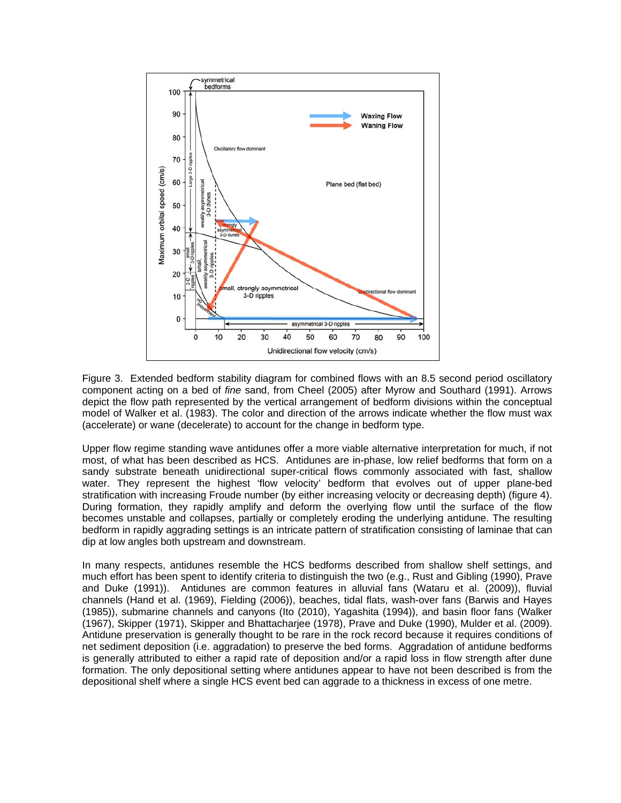

Figure 3. Extended bedform stability diagram for combined flows with an 8.5 second period oscillatory component acting on a bed of *fine* sand, from Cheel (2005) after Myrow and Southard (1991). Arrows depict the flow path represented by the vertical arrangement of bedform divisions within the conceptual model of Walker et al. (1983). The color and direction of the arrows indicate whether the flow must wax (accelerate) or wane (decelerate) to account for the change in bedform type.

Upper flow regime standing wave antidunes offer a more viable alternative interpretation for much, if not most, of what has been described as HCS. Antidunes are in-phase, low relief bedforms that form on a sandy substrate beneath unidirectional super-critical flows commonly associated with fast, shallow water. They represent the highest 'flow velocity' bedform that evolves out of upper plane-bed stratification with increasing Froude number (by either increasing velocity or decreasing depth) (figure 4). During formation, they rapidly amplify and deform the overlying flow until the surface of the flow becomes unstable and collapses, partially or completely eroding the underlying antidune. The resulting bedform in rapidly aggrading settings is an intricate pattern of stratification consisting of laminae that can dip at low angles both upstream and downstream.

In many respects, antidunes resemble the HCS bedforms described from shallow shelf settings, and much effort has been spent to identify criteria to distinguish the two (e.g., Rust and Gibling (1990), Prave and Duke (1991)). Antidunes are common features in alluvial fans (Wataru et al. (2009)), fluvial channels (Hand et al. (1969), Fielding (2006)), beaches, tidal flats, wash-over fans (Barwis and Hayes (1985)), submarine channels and canyons (Ito (2010), Yagashita (1994)), and basin floor fans (Walker (1967), Skipper (1971), Skipper and Bhattacharjee (1978), Prave and Duke (1990), Mulder et al. (2009). Antidune preservation is generally thought to be rare in the rock record because it requires conditions of net sediment deposition (i.e. aggradation) to preserve the bed forms. Aggradation of antidune bedforms is generally attributed to either a rapid rate of deposition and/or a rapid loss in flow strength after dune formation. The only depositional setting where antidunes appear to have not been described is from the depositional shelf where a single HCS event bed can aggrade to a thickness in excess of one metre.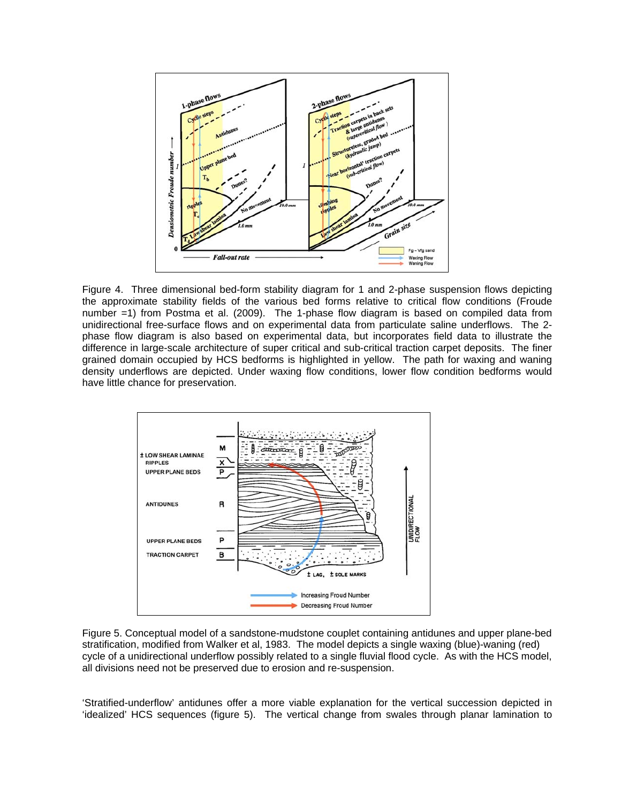

Figure 4. Three dimensional bed-form stability diagram for 1 and 2-phase suspension flows depicting the approximate stability fields of the various bed forms relative to critical flow conditions (Froude number =1) from Postma et al. (2009). The 1-phase flow diagram is based on compiled data from unidirectional free-surface flows and on experimental data from particulate saline underflows. The 2 phase flow diagram is also based on experimental data, but incorporates field data to illustrate the difference in large-scale architecture of super critical and sub-critical traction carpet deposits. The finer grained domain occupied by HCS bedforms is highlighted in yellow. The path for waxing and waning density underflows are depicted. Under waxing flow conditions, lower flow condition bedforms would have little chance for preservation.



Figure 5. Conceptual model of a sandstone-mudstone couplet containing antidunes and upper plane-bed stratification, modified from Walker et al, 1983. The model depicts a single waxing (blue)-waning (red) cycle of a unidirectional underflow possibly related to a single fluvial flood cycle. As with the HCS model, all divisions need not be preserved due to erosion and re-suspension.

'Stratified-underflow' antidunes offer a more viable explanation for the vertical succession depicted in 'idealized' HCS sequences (figure 5). The vertical change from swales through planar lamination to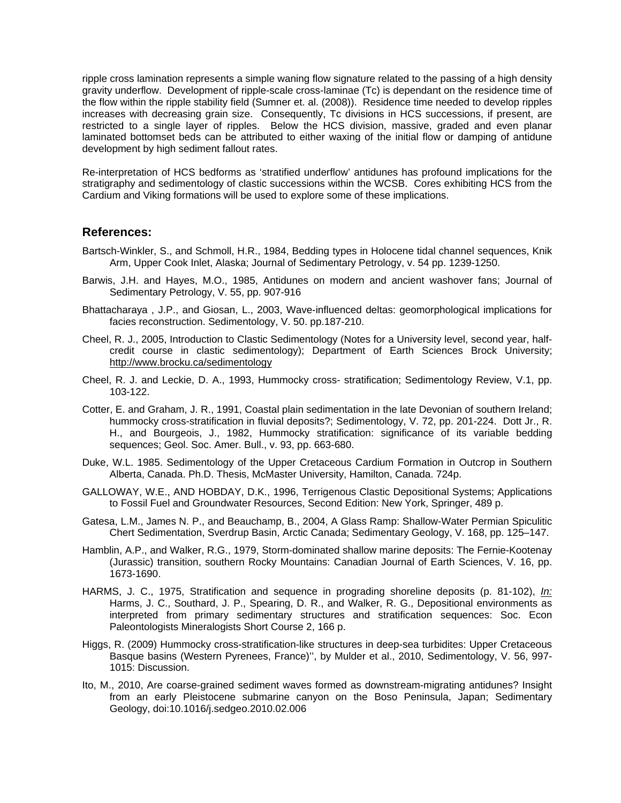ripple cross lamination represents a simple waning flow signature related to the passing of a high density gravity underflow. Development of ripple-scale cross-laminae (Tc) is dependant on the residence time of the flow within the ripple stability field (Sumner et. al. (2008)). Residence time needed to develop ripples increases with decreasing grain size. Consequently, Tc divisions in HCS successions, if present, are restricted to a single layer of ripples. Below the HCS division, massive, graded and even planar laminated bottomset beds can be attributed to either waxing of the initial flow or damping of antidune development by high sediment fallout rates.

Re-interpretation of HCS bedforms as 'stratified underflow' antidunes has profound implications for the stratigraphy and sedimentology of clastic successions within the WCSB. Cores exhibiting HCS from the Cardium and Viking formations will be used to explore some of these implications.

## **References:**

- Bartsch-Winkler, S., and Schmoll, H.R., 1984, Bedding types in Holocene tidal channel sequences, Knik Arm, Upper Cook Inlet, Alaska; Journal of Sedimentary Petrology, v. 54 pp. 1239-1250.
- Barwis, J.H. and Hayes, M.O., 1985, Antidunes on modern and ancient washover fans; Journal of Sedimentary Petrology, V. 55, pp. 907-916
- Bhattacharaya , J.P., and Giosan, L., 2003, [Wave-influenced deltas: geomorphological implications for](http://www.geosc.uh.edu/docs/geos/faculty-files/pdf/2002.pdf)  [facies reconstruction.](http://www.geosc.uh.edu/docs/geos/faculty-files/pdf/2002.pdf) Sedimentology, V. 50. pp.187-210.
- Cheel, R. J., 2005, Introduction to Clastic Sedimentology (Notes for a University level, second year, halfcredit course in clastic sedimentology); Department of Earth Sciences Brock University; <http://www.brocku.ca/sedimentology>
- Cheel, R. J. and Leckie, D. A., 1993, Hummocky cross- stratification; Sedimentology Review, V.1, pp. 103-122.
- Cotter, E. and Graham, J. R., 1991, Coastal plain sedimentation in the late Devonian of southern Ireland; hummocky cross-stratification in fluvial deposits?; Sedimentology, V. 72, pp. 201-224. Dott Jr., R. H., and Bourgeois, J., 1982, Hummocky stratification: significance of its variable bedding sequences; Geol. Soc. Amer. Bull., v. 93, pp. 663-680.
- Duke, W.L. 1985. Sedimentology of the Upper Cretaceous Cardium Formation in Outcrop in Southern Alberta, Canada. Ph.D. Thesis, McMaster University, Hamilton, Canada. 724p.
- GALLOWAY, W.E., AND HOBDAY, D.K., 1996, Terrigenous Clastic Depositional Systems; Applications to Fossil Fuel and Groundwater Resources, Second Edition: New York, Springer, 489 p.
- Gatesa, L.M., James N. P., and Beauchamp, B., 2004, A Glass Ramp: Shallow-Water Permian Spiculitic Chert Sedimentation, Sverdrup Basin, Arctic Canada; Sedimentary Geology, V. 168, pp. 125–147.
- Hamblin, A.P., and Walker, R.G., 1979, Storm-dominated shallow marine deposits: The Fernie-Kootenay (Jurassic) transition, southern Rocky Mountains: Canadian Journal of Earth Sciences, V. 16, pp. 1673-1690.
- HARMS, J. C., 1975, Stratification and sequence in prograding shoreline deposits (p. 81-102), *In:* Harms, J. C., Southard, J. P., Spearing, D. R., and Walker, R. G., Depositional environments as interpreted from primary sedimentary structures and stratification sequences: Soc. Econ Paleontologists Mineralogists Short Course 2, 166 p.
- Higgs, R. (2009) Hummocky cross-stratification-like structures in deep-sea turbidites: Upper Cretaceous Basque basins (Western Pyrenees, France)'', by Mulder et al., 2010, Sedimentology, V. 56, 997- 1015: Discussion.
- Ito, M., 2010, Are coarse-grained sediment waves formed as downstream-migrating antidunes? Insight from an early Pleistocene submarine canyon on the Boso Peninsula, Japan; Sedimentary Geology, doi:10.1016/j.sedgeo.2010.02.006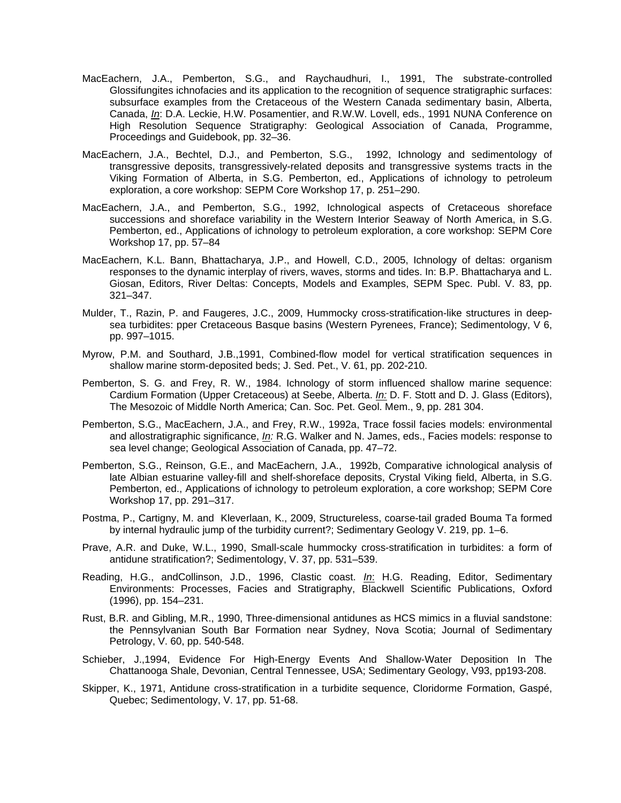- MacEachern, J.A., Pemberton, S.G., and Raychaudhuri, I., 1991, The substrate-controlled Glossifungites ichnofacies and its application to the recognition of sequence stratigraphic surfaces: subsurface examples from the Cretaceous of the Western Canada sedimentary basin, Alberta, Canada, *In*: D.A. Leckie, H.W. Posamentier, and R.W.W. Lovell, eds., 1991 NUNA Conference on High Resolution Sequence Stratigraphy: Geological Association of Canada, Programme, Proceedings and Guidebook, pp. 32–36.
- MacEachern, J.A., Bechtel, D.J., and Pemberton, S.G., 1992, Ichnology and sedimentology of transgressive deposits, transgressively-related deposits and transgressive systems tracts in the Viking Formation of Alberta, in S.G. Pemberton, ed., Applications of ichnology to petroleum exploration, a core workshop: SEPM Core Workshop 17, p. 251–290.
- MacEachern, J.A., and Pemberton, S.G., 1992, Ichnological aspects of Cretaceous shoreface successions and shoreface variability in the Western Interior Seaway of North America, in S.G. Pemberton, ed., Applications of ichnology to petroleum exploration, a core workshop: SEPM Core Workshop 17, pp. 57–84
- MacEachern, K.L. Bann, Bhattacharya, J.P., and Howell, C.D., 2005, Ichnology of deltas: organism responses to the dynamic interplay of rivers, waves, storms and tides. In: B.P. Bhattacharya and L. Giosan, Editors, River Deltas: Concepts, Models and Examples, SEPM Spec. Publ. V. 83, pp. 321–347.
- Mulder, T., Razin, P. and Faugeres, J.C., 2009, Hummocky cross-stratification-like structures in deepsea turbidites: pper Cretaceous Basque basins (Western Pyrenees, France); Sedimentology, V 6, pp. 997–1015.
- Myrow, P.M. and Southard, J.B.,1991, Combined-flow model for vertical stratification sequences in shallow marine storm-deposited beds; J. Sed. Pet., V. 61, pp. 202-210.
- Pemberton, S. G. and Frey, R. W., 1984. Ichnology of storm influenced shallow marine sequence: Cardium Formation (Upper Cretaceous) at Seebe, Alberta. *In:* D. F. Stott and D. J. Glass (Editors), The Mesozoic of Middle North America; Can. Soc. Pet. Geol. Mem., 9, pp. 281 304.
- Pemberton, S.G., MacEachern, J.A., and Frey, R.W., 1992a, Trace fossil facies models: environmental and allostratigraphic significance, *In:* R.G. Walker and N. James, eds., Facies models: response to sea level change; Geological Association of Canada, pp. 47–72.
- Pemberton, S.G., Reinson, G.E., and MacEachern, J.A., 1992b, Comparative ichnological analysis of late Albian estuarine valley-fill and shelf-shoreface deposits, Crystal Viking field, Alberta, in S.G. Pemberton, ed., Applications of ichnology to petroleum exploration, a core workshop; SEPM Core Workshop 17, pp. 291–317.
- Postma, P., Cartigny, M. and Kleverlaan, K., 2009, Structureless, coarse-tail graded Bouma Ta formed by internal hydraulic jump of the turbidity current?; Sedimentary Geology V. 219, pp. 1–6.
- Prave, A.R. and Duke, W.L., 1990, Small-scale hummocky cross-stratification in turbidites: a form of antidune stratification?; Sedimentology, V. 37, pp. 531–539.
- Reading, H.G., andCollinson, J.D., 1996, Clastic coast. *In*: H.G. Reading, Editor, Sedimentary Environments: Processes, Facies and Stratigraphy, Blackwell Scientific Publications, Oxford (1996), pp. 154–231.
- Rust, B.R. and Gibling, M.R., 1990, Three-dimensional antidunes as HCS mimics in a fluvial sandstone: the Pennsylvanian South Bar Formation near Sydney, Nova Scotia; Journal of Sedimentary Petrology, V. 60, pp. 540-548.
- Schieber, J.,1994, Evidence For High-Energy Events And Shallow-Water Deposition In The Chattanooga Shale, Devonian, Central Tennessee, USA; Sedimentary Geology, V93, pp193-208.
- Skipper, K., 1971, Antidune cross-stratification in a turbidite sequence, Cloridorme Formation, Gaspé, Quebec; Sedimentology, V. 17, pp. 51-68.